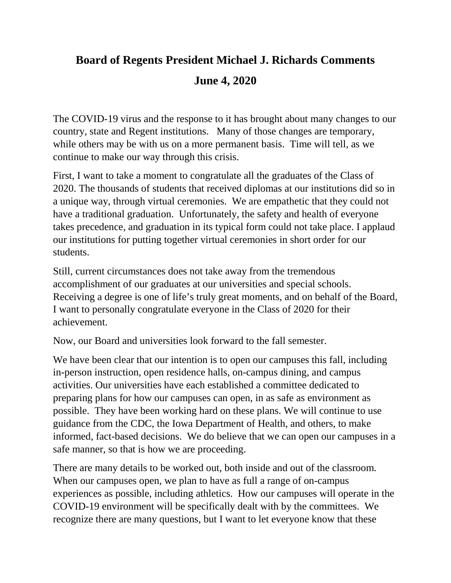## **Board of Regents President Michael J. Richards Comments June 4, 2020**

The COVID-19 virus and the response to it has brought about many changes to our country, state and Regent institutions. Many of those changes are temporary, while others may be with us on a more permanent basis. Time will tell, as we continue to make our way through this crisis.

First, I want to take a moment to congratulate all the graduates of the Class of 2020. The thousands of students that received diplomas at our institutions did so in a unique way, through virtual ceremonies. We are empathetic that they could not have a traditional graduation. Unfortunately, the safety and health of everyone takes precedence, and graduation in its typical form could not take place. I applaud our institutions for putting together virtual ceremonies in short order for our students.

Still, current circumstances does not take away from the tremendous accomplishment of our graduates at our universities and special schools. Receiving a degree is one of life's truly great moments, and on behalf of the Board, I want to personally congratulate everyone in the Class of 2020 for their achievement.

Now, our Board and universities look forward to the fall semester.

We have been clear that our intention is to open our campuses this fall, including in-person instruction, open residence halls, on-campus dining, and campus activities. Our universities have each established a committee dedicated to preparing plans for how our campuses can open, in as safe as environment as possible. They have been working hard on these plans. We will continue to use guidance from the CDC, the Iowa Department of Health, and others, to make informed, fact-based decisions. We do believe that we can open our campuses in a safe manner, so that is how we are proceeding.

There are many details to be worked out, both inside and out of the classroom. When our campuses open, we plan to have as full a range of on-campus experiences as possible, including athletics. How our campuses will operate in the COVID-19 environment will be specifically dealt with by the committees. We recognize there are many questions, but I want to let everyone know that these